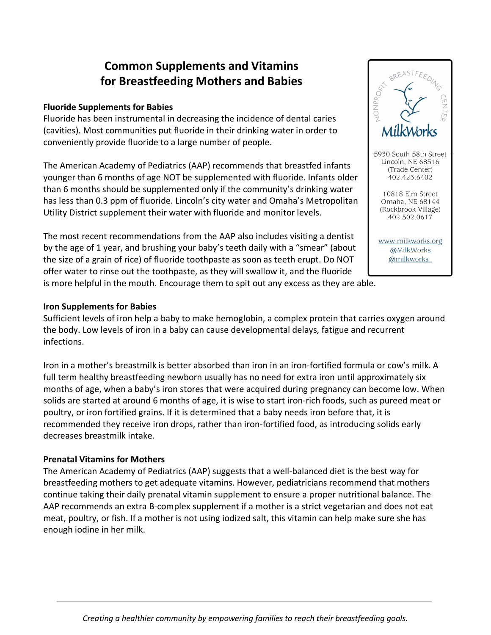# **Common Supplements and Vitamins for Breastfeeding Mothers and Babies**

#### **Fluoride Supplements for Babies**

Fluoride has been instrumental in decreasing the incidence of dental caries (cavities). Most communities put fluoride in their drinking water in order to conveniently provide fluoride to a large number of people.

The American Academy of Pediatrics (AAP) recommends that breastfed infants younger than 6 months of age NOT be supplemented with fluoride. Infants older than 6 months should be supplemented only if the community's drinking water has less than 0.3 ppm of fluoride. Lincoln's city water and Omaha's Metropolitan Utility District supplement their water with fluoride and monitor levels.

The most recent recommendations from the AAP also includes visiting a dentist by the age of 1 year, and brushing your baby's teeth daily with a "smear" (about the size of a grain of rice) of fluoride toothpaste as soon as teeth erupt. Do NOT offer water to rinse out the toothpaste, as they will swallow it, and the fluoride is more helpful in the mouth. Encourage them to spit out any excess as they are able.

# NONPRO<sub>FY</sub> 5930 South 58th Street Lincoln, NE 68516 (Trade Center) 402.423.6402 10818 Elm Street Omaha, NE 68144 (Rockbrook Village) 402.502.0617

www.milkworks.org @MilkWorks @milkworks

#### **Iron Supplements for Babies**

Sufficient levels of iron help a baby to make hemoglobin, a complex protein that carries oxygen around the body. Low levels of iron in a baby can cause developmental delays, fatigue and recurrent infections.

Iron in a mother's breastmilk is better absorbed than iron in an iron-fortified formula or cow's milk. A full term healthy breastfeeding newborn usually has no need for extra iron until approximately six months of age, when a baby's iron stores that were acquired during pregnancy can become low. When solids are started at around 6 months of age, it is wise to start iron-rich foods, such as pureed meat or poultry, or iron fortified grains. If it is determined that a baby needs iron before that, it is recommended they receive iron drops, rather than iron-fortified food, as introducing solids early decreases breastmilk intake.

#### **Prenatal Vitamins for Mothers**

The American Academy of Pediatrics (AAP) suggests that a well-balanced diet is the best way for breastfeeding mothers to get adequate vitamins. However, pediatricians recommend that mothers continue taking their daily prenatal vitamin supplement to ensure a proper nutritional balance. The AAP recommends an extra B-complex supplement if a mother is a strict vegetarian and does not eat meat, poultry, or fish. If a mother is not using iodized salt, this vitamin can help make sure she has enough iodine in her milk.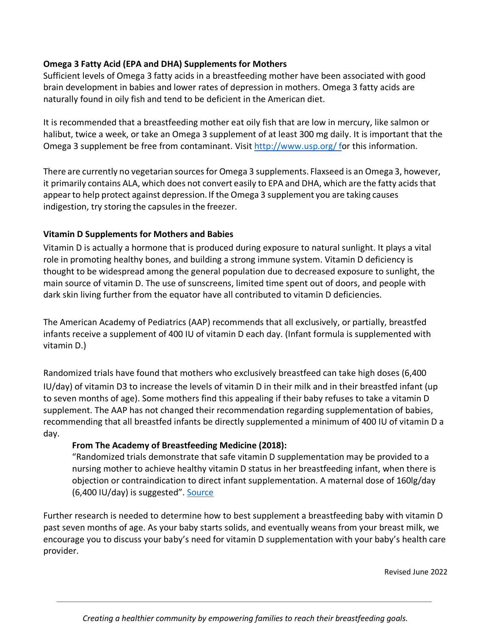### **Omega 3 Fatty Acid (EPA and DHA) Supplements for Mothers**

Sufficient levels of Omega 3 fatty acids in a breastfeeding mother have been associated with good brain development in babies and lower rates of depression in mothers. Omega 3 fatty acids are naturally found in oily fish and tend to be deficient in the American diet.

It is recommended that a breastfeeding mother eat oily fish that are low in mercury, like salmon or halibut, twice a week, or take an Omega 3 supplement of at least 300 mg daily. It is important that the Omega 3 supplement be free from contaminant. Visit http://www.usp.org/ for this information.

There are currently no vegetarian sourcesfor Omega 3 supplements. Flaxseed is an Omega 3, however, it primarily contains ALA, which does not convert easily to EPA and DHA, which are the fatty acidsthat appearto help protect against depression. If the Omega 3 supplement you are taking causes indigestion, try storing the capsules in the freezer.

## **Vitamin D Supplements for Mothers and Babies**

Vitamin D is actually a hormone that is produced during exposure to natural sunlight. It plays a vital role in promoting healthy bones, and building a strong immune system. Vitamin D deficiency is thought to be widespread among the general population due to decreased exposure to sunlight, the main source of vitamin D. The use of sunscreens, limited time spent out of doors, and people with dark skin living further from the equator have all contributed to vitamin D deficiencies.

The American Academy of Pediatrics (AAP) recommends that all exclusively, or partially, breastfed infants receive a supplement of 400 IU of vitamin D each day. (Infant formula is supplemented with vitamin D.)

Randomized trials have found that mothers who exclusively breastfeed can take high doses (6,400 IU/day) of vitamin D3 to increase the levels of vitamin D in their milk and in their breastfed infant (up to seven months of age). Some mothers find this appealing if their baby refuses to take a vitamin D supplement. The AAP has not changed their recommendation regarding supplementation of babies, recommending that all breastfed infants be directly supplemented a minimum of 400 IU of vitamin D a day.

#### **From The Academy of Breastfeeding Medicine (2018):**

"Randomized trials demonstrate that safe vitamin D supplementation may be provided to a nursing mother to achieve healthy vitamin D status in her breastfeeding infant, when there is objection or contraindication to direct infant supplementation. A maternal dose of 160lg/day (6,400 IU/day) is suggested". Source

Further research is needed to determine how to best supplement a breastfeeding baby with vitamin D past seven months of age. As your baby starts solids, and eventually weans from your breast milk, we encourage you to discuss your baby's need for vitamin D supplementation with your baby's health care provider.

Revised June 2022